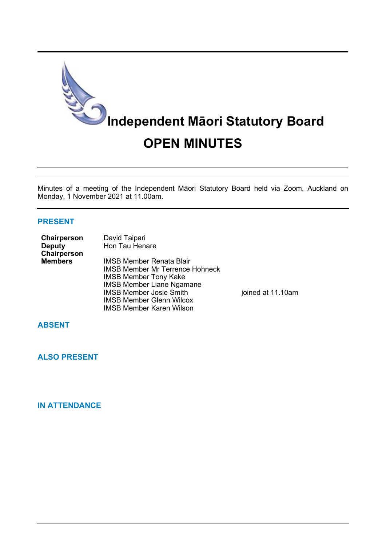

Minutes of a meeting of the Independent Māori Statutory Board held via Zoom, Auckland on Monday, 1 November 2021 at 11.00am.

# **PRESENT**

| Chairperson    | David Taipari                          |                   |
|----------------|----------------------------------------|-------------------|
| <b>Deputy</b>  | Hon Tau Henare                         |                   |
| Chairperson    |                                        |                   |
| <b>Members</b> | <b>IMSB Member Renata Blair</b>        |                   |
|                | <b>IMSB Member Mr Terrence Hohneck</b> |                   |
|                | <b>IMSB Member Tony Kake</b>           |                   |
|                | <b>IMSB Member Liane Ngamane</b>       |                   |
|                | <b>IMSB Member Josie Smith</b>         | joined at 11.10am |
|                | <b>IMSB Member Glenn Wilcox</b>        |                   |
|                | <b>IMSB Member Karen Wilson</b>        |                   |

**ABSENT**

**ALSO PRESENT**

**IN ATTENDANCE**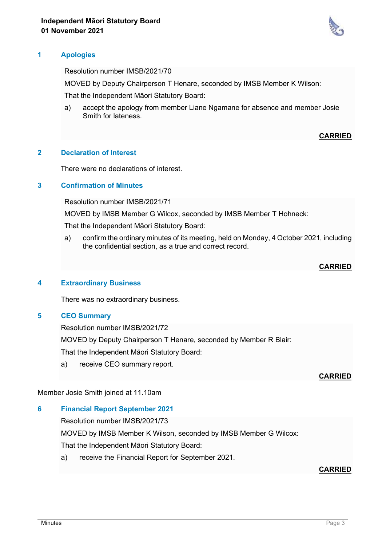

Resolution number IMSB/2021/70

MOVED by Deputy Chairperson T Henare, seconded by IMSB Member K Wilson:

That the Independent Māori Statutory Board:

a) accept the apology from member Liane Ngamane for absence and member Josie Smith for lateness.

# **CARRIED**

# **2 Declaration of Interest**

There were no declarations of interest.

# **3 Confirmation of Minutes**

Resolution number IMSB/2021/71

MOVED by IMSB Member G Wilcox, seconded by IMSB Member T Hohneck:

That the Independent Māori Statutory Board:

a) confirm the ordinary minutes of its meeting, held on Monday, 4 October 2021, including the confidential section, as a true and correct record.

#### **CARRIED**

#### **4 Extraordinary Business**

There was no extraordinary business.

#### **5 CEO Summary**

Resolution number IMSB/2021/72

MOVED by Deputy Chairperson T Henare, seconded by Member R Blair:

That the Independent Māori Statutory Board:

a) receive CEO summary report.

#### **CARRIED**

#### Member Josie Smith joined at 11.10am

# **6 Financial Report September 2021**

Resolution number IMSB/2021/73

MOVED by IMSB Member K Wilson, seconded by IMSB Member G Wilcox:

That the Independent Māori Statutory Board:

a) receive the Financial Report for September 2021.

# **CARRIED**

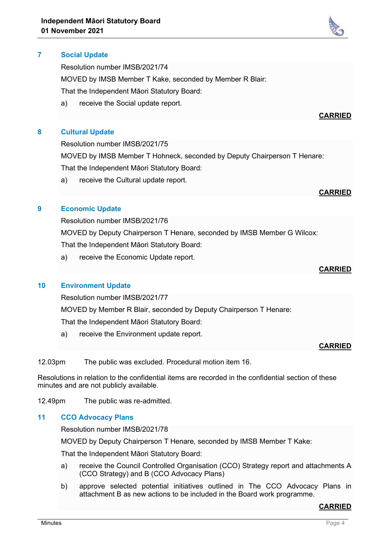# **7 Social Update**

Resolution number IMSB/2021/74

MOVED by IMSB Member T Kake, seconded by Member R Blair:

That the Independent Māori Statutory Board:

a) receive the Social update report.

### **8 Cultural Update**

Resolution number IMSB/2021/75

MOVED by IMSB Member T Hohneck, seconded by Deputy Chairperson T Henare: That the Independent Māori Statutory Board:

a) receive the Cultural update report.

# **CARRIED**

**CARRIED**

# **9 Economic Update**

Resolution number IMSB/2021/76 MOVED by Deputy Chairperson T Henare, seconded by IMSB Member G Wilcox: That the Independent Māori Statutory Board:

a) receive the Economic Update report.

### **CARRIED**

# **10 Environment Update**

Resolution number IMSB/2021/77

MOVED by Member R Blair, seconded by Deputy Chairperson T Henare:

That the Independent Māori Statutory Board:

a) receive the Environment update report.

#### **CARRIED**

12.03pm The public was excluded. Procedural motion item 16.

Resolutions in relation to the confidential items are recorded in the confidential section of these minutes and are not publicly available.

12.49pm The public was re-admitted.

#### **11 CCO Advocacy Plans**

Resolution number IMSB/2021/78

MOVED by Deputy Chairperson T Henare, seconded by IMSB Member T Kake:

That the Independent Māori Statutory Board:

- a) receive the Council Controlled Organisation (CCO) Strategy report and attachments A (CCO Strategy) and B (CCO Advocacy Plans)
- b) approve selected potential initiatives outlined in The CCO Advocacy Plans in attachment B as new actions to be included in the Board work programme.

# **CARRIED**

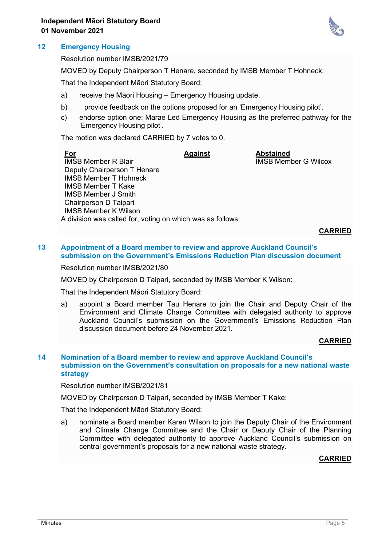# **12 Emergency Housing**

Resolution number IMSB/2021/79

MOVED by Deputy Chairperson T Henare, seconded by IMSB Member T Hohneck:

That the Independent Māori Statutory Board:

- a) receive the Māori Housing Emergency Housing update.
- b) provide feedback on the options proposed for an 'Emergency Housing pilot'.
- c) endorse option one: Marae Led Emergency Housing as the preferred pathway for the 'Emergency Housing pilot'.

The motion was declared CARRIED by 7 votes to 0.

| <u>For</u>                                                 | <b>Against</b> | <b>Abstained</b>            |
|------------------------------------------------------------|----------------|-----------------------------|
| <b>IMSB Member R Blair</b>                                 |                | <b>IMSB Member G Wilcox</b> |
| Deputy Chairperson T Henare                                |                |                             |
| <b>IMSB Member T Hohneck</b>                               |                |                             |
| <b>IMSB Member T Kake</b>                                  |                |                             |
| <b>IMSB Member J Smith</b>                                 |                |                             |
| Chairperson D Taipari                                      |                |                             |
| <b>IMSB Member K Wilson</b>                                |                |                             |
| A division was called for, voting on which was as follows: |                |                             |

**CARRIED**

### **13 Appointment of a Board member to review and approve Auckland Council's submission on the Government's Emissions Reduction Plan discussion document**

Resolution number IMSB/2021/80

MOVED by Chairperson D Taipari, seconded by IMSB Member K Wilson:

That the Independent Māori Statutory Board:

a) appoint a Board member Tau Henare to join the Chair and Deputy Chair of the Environment and Climate Change Committee with delegated authority to approve Auckland Council's submission on the Government's Emissions Reduction Plan discussion document before 24 November 2021.

# **CARRIED**

### **14 Nomination of a Board member to review and approve Auckland Council's submission on the Government's consultation on proposals for a new national waste strategy**

Resolution number IMSB/2021/81

MOVED by Chairperson D Taipari, seconded by IMSB Member T Kake:

That the Independent Māori Statutory Board:

a) nominate a Board member Karen Wilson to join the Deputy Chair of the Environment and Climate Change Committee and the Chair or Deputy Chair of the Planning Committee with delegated authority to approve Auckland Council's submission on central government's proposals for a new national waste strategy.

# **CARRIED**

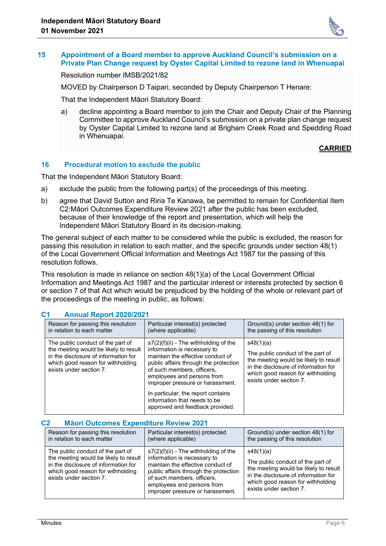

#### **15 Appointment of a Board member to approve Auckland Council's submission on a Private Plan Change request by Oyster Capital Limited to rezone land in Whenuapai**

Resolution number IMSB/2021/82

MOVED by Chairperson D Taipari, seconded by Deputy Chairperson T Henare:

That the Independent Māori Statutory Board:

a) decline appointing a Board member to join the Chair and Deputy Chair of the Planning Committee to approve Auckland Council's submission on a private plan change request by Oyster Capital Limited to rezone land at Brigham Creek Road and Spedding Road in Whenuapai.

# **CARRIED**

### **16 Procedural motion to exclude the public**

That the Independent Māori Statutory Board:

- a) exclude the public from the following part(s) of the proceedings of this meeting.
- b) agree that David Sutton and Riria Te Kanawa, be permitted to remain for Confidential Item C2:Māori Outcomes Expenditure Review 2021 after the public has been excluded, because of their knowledge of the report and presentation, which will help the Independent Māori Statutory Board in its decision-making.

The general subject of each matter to be considered while the public is excluded, the reason for passing this resolution in relation to each matter, and the specific grounds under section 48(1) of the Local Government Official Information and Meetings Act 1987 for the passing of this resolution follows.

This resolution is made in reliance on section 48(1)(a) of the Local Government Official Information and Meetings Act 1987 and the particular interest or interests protected by section 6 or section 7 of that Act which would be prejudiced by the holding of the whole or relevant part of the proceedings of the meeting in public, as follows:

| Reason for passing this resolution<br>in relation to each matter                                                                                                                   | Particular interest(s) protected<br>(where applicable)                                                                                                                                                                                               | Ground(s) under section 48(1) for<br>the passing of this resolution                                                                                                                             |
|------------------------------------------------------------------------------------------------------------------------------------------------------------------------------------|------------------------------------------------------------------------------------------------------------------------------------------------------------------------------------------------------------------------------------------------------|-------------------------------------------------------------------------------------------------------------------------------------------------------------------------------------------------|
| The public conduct of the part of<br>the meeting would be likely to result<br>in the disclosure of information for<br>which good reason for withholding<br>exists under section 7. | $s7(2)(f)(ii)$ - The withholding of the<br>information is necessary to<br>maintain the effective conduct of<br>public affairs through the protection<br>of such members, officers,<br>employees and persons from<br>improper pressure or harassment. | s48(1)(a)<br>The public conduct of the part of<br>the meeting would be likely to result<br>in the disclosure of information for<br>which good reason for withholding<br>exists under section 7. |
|                                                                                                                                                                                    | In particular, the report contains<br>information that needs to be<br>approved and feedback provided.                                                                                                                                                |                                                                                                                                                                                                 |

# **C1 Annual Report 2020/2021**

#### **C2 Māori Outcomes Expenditure Review 2021**

| Reason for passing this resolution                                                                                                                                                 | Particular interest(s) protected                                                                                                                                                                                                                   | Ground(s) under section 48(1) for |
|------------------------------------------------------------------------------------------------------------------------------------------------------------------------------------|----------------------------------------------------------------------------------------------------------------------------------------------------------------------------------------------------------------------------------------------------|-----------------------------------|
| in relation to each matter                                                                                                                                                         | (where applicable)                                                                                                                                                                                                                                 | the passing of this resolution    |
| The public conduct of the part of<br>the meeting would be likely to result<br>in the disclosure of information for<br>which good reason for withholding<br>exists under section 7. | s7(2)(f)(ii) - The withholding of the<br>information is necessary to<br>maintain the effective conduct of<br>public affairs through the protection<br>of such members, officers,<br>employees and persons from<br>improper pressure or harassment. |                                   |